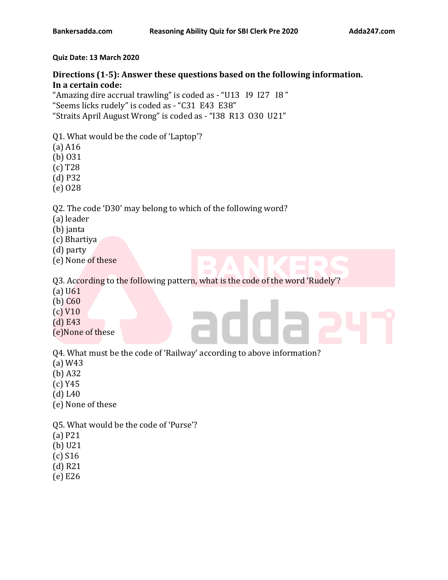#### **Quiz Date: 13 March 2020**

# **Directions (1-5): Answer these questions based on the following information. In a certain code:**

"Amazing dire accrual trawling" is coded as - "U13 I9 I27 I8 " "Seems licks rudely" is coded as - "C31 E43 E38" "Straits April August Wrong" is coded as - "I38 R13 O30 U21"

- Q1. What would be the code of 'Laptop'?
- (a) A16
- (b) O31
- (c) T28
- (d) P32
- (e) O28

Q2. The code 'D30' may belong to which of the following word?

- (a) leader
- (b) janta
- (c) Bhartiya
- (d) party
- (e) None of these

Q3. According to the following pattern, what is the code of the word 'Rudely'?

- (a) U61
- (b) C60
- (c) V10
- (d) E43
- (e)None of these

Q4. What must be the code of 'Railway' according to above information?

- (a) W43
- (b) A32
- (c) Y45
- (d) L40
- (e) None of these
- Q5. What would be the code of 'Purse'?
- (a) P21
- (b) U21
- (c) S16
- (d) R21
- (e) E26
-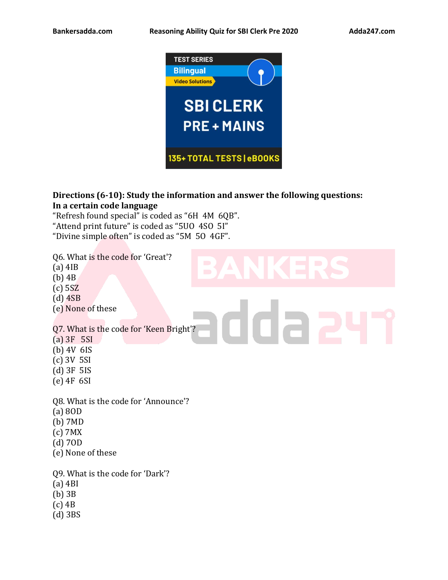

# **Directions (6-10): Study the information and answer the following questions: In a certain code language**

ddaa

"Refresh found special" is coded as "6H 4M 6QB". "Attend print future" is coded as "5UO 4SO 5I" "Divine simple often" is coded as "5M 5O 4GF".

Q6. What is the code for 'Great'?

- (a) 4IB
- (b) 4B
- (c) 5SZ
- (d) 4SB
- (e) None of these

## Q7. What is the code for 'Keen Bright'?

- (a) 3F 5SI
- (b) 4V 6IS
- (c) 3V 5SI
- (d) 3F 5IS
- (e) 4F 6SI
- Q8. What is the code for 'Announce'?
- (a) 8OD
- (b) 7MD
- (c) 7MX
- (d) 7OD
- (e) None of these

Q9. What is the code for 'Dark'?

- (a) 4BI
- (b) 3B
- (c) 4B
- (d) 3BS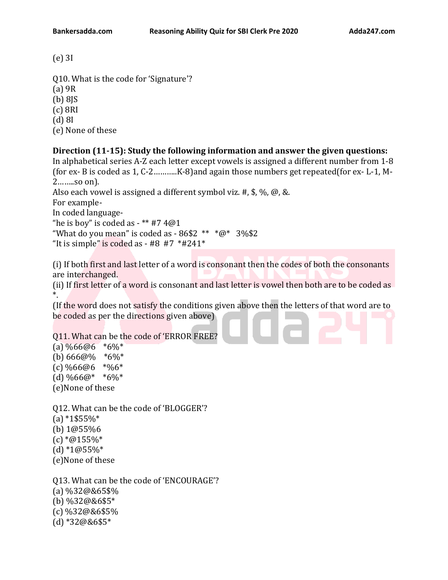(e) 3I

Q10. What is the code for 'Signature'? (a) 9R (b) 8JS (c) 8RI (d) 8I (e) None of these

## **Direction (11-15): Study the following information and answer the given questions:**

In alphabetical series A-Z each letter except vowels is assigned a different number from 1-8 (for ex- B is coded as 1, C-2………..K-8)and again those numbers get repeated(for ex- L-1, M-2……..so on).

Also each vowel is assigned a different symbol viz. #, \$, %, @, &.

For example-

In coded language-

"he is boy" is coded as  $-***$  #7 4 $@1$ 

"What do you mean" is coded as -  $86\$2$  \*\*  $*@*3\%\$2$ 

"It is simple" is coded as - #8 #7  $*#241*$ 

(i) If both first and last letter of a word is consonant then the codes of both the consonants are interchanged.

(ii) If first letter of a word is consonant and last letter is vowel then both are to be coded as \*.

(If the word does not satisfy the conditions given above then the letters of that word are to be coded as per the directions given above)

Q11. What can be the code of 'ERROR FREE?

(a) %66@6 \*6%\* (b) 666@% \*6%\* (c) %66@6 \*%6\* (d)  $\%66@*$  \*6%\* (e)None of these

Q12. What can be the code of 'BLOGGER'?  $(a)$  \*1\$55%\* (b) 1@55%6  $(c)$  \*@155%\*  $(d)$  \*1@55%\* (e)None of these

Q13. What can be the code of 'ENCOURAGE'? (a) %32@&65\$% (b) %32@&6\$5\* (c) %32@&6\$5% (d) \*32@&6\$5\*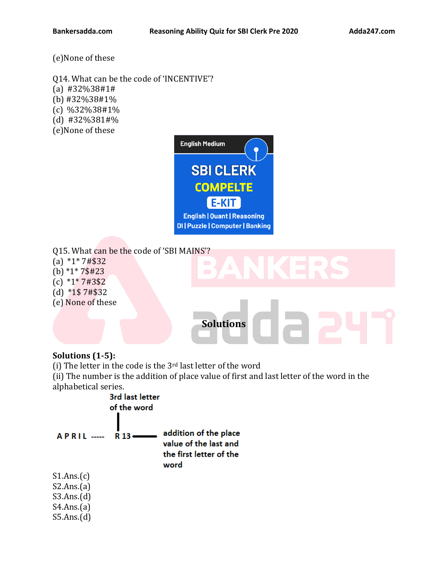(e)None of these

- Q14. What can be the code of 'INCENTIVE'?
- (a) #32%38#1#
- (b) #32%38#1%
- (c) %32%38#1%
- (d) #32%381#%
- (e)None of these



- Q15. What can be the code of 'SBI MAINS'?
- (a) \*1\* 7#\$32
- (b) \*1\* 7\$#23
- (c) \*1\* 7#3\$2
- (d) \*1\$ 7#\$32
- (e) None of these



### **Solutions (1-5):**

(i) The letter in the code is the 3rd last letter of the word

(ii) The number is the addition of place value of first and last letter of the word in the alphabetical series.



S5.Ans.(d)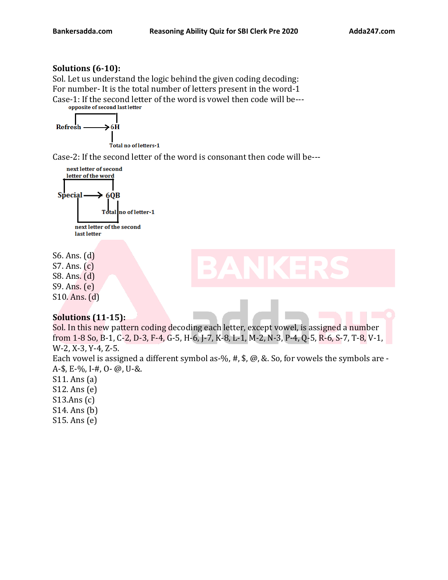### **Solutions (6-10):**

Sol. Let us understand the logic behind the given coding decoding: For number- It is the total number of letters present in the word-1 Case-1: If the second letter of the word is vowel then code will be---<br>opposite of second last letter

 $\rightarrow$  6H Refresh

Total no of letters 1

Case-2: If the second letter of the word is consonant then code will be---



S6. Ans. (d) S7. Ans. (c) S8. Ans. (d) S9. Ans. (e) S10. Ans. (d)

### **Solutions (11-15):**

Sol. In this new pattern coding decoding each letter, except vowel, is assigned a number from 1-8 So, B-1, C-2, D-3, F-4, G-5, H-6, J-7, K-8, L-1, M-2, N-3, P-4, Q-5, R-6, S-7, T-8, V-1, W-2, X-3, Y-4, Z-5.

Each vowel is assigned a different symbol as-%, #, \$, @, &. So, for vowels the symbols are -A-\$, E-%, I-#, O- @, U-&.

S11. Ans (a)

S12. Ans (e)

S13.Ans (c)

S14. Ans (b)

S15. Ans (e)